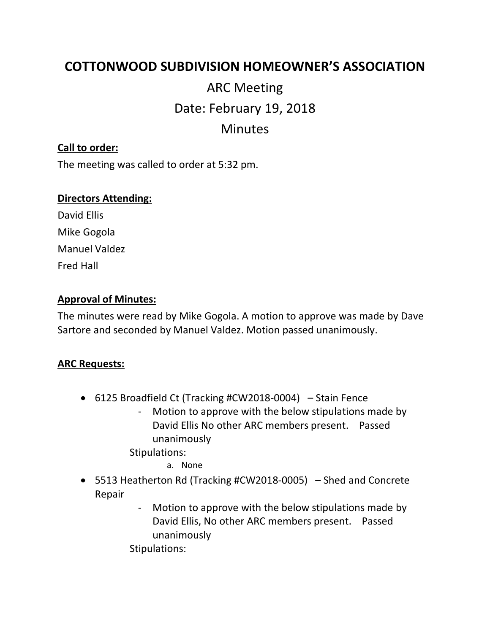## **COTTONWOOD SUBDIVISION HOMEOWNER'S ASSOCIATION**

# ARC Meeting Date: February 19, 2018 Minutes

#### **Call to order:**

The meeting was called to order at 5:32 pm.

#### **Directors Attending:**

David Ellis Mike Gogola Manuel Valdez Fred Hall

#### **Approval of Minutes:**

The minutes were read by Mike Gogola. A motion to approve was made by Dave Sartore and seconded by Manuel Valdez. Motion passed unanimously.

#### **ARC Requests:**

- 6125 Broadfield Ct (Tracking #CW2018-0004) Stain Fence
	- Motion to approve with the below stipulations made by David Ellis No other ARC members present. Passed unanimously

Stipulations:

a. None

- 5513 Heatherton Rd (Tracking #CW2018-0005) Shed and Concrete Repair
	- Motion to approve with the below stipulations made by David Ellis, No other ARC members present. Passed unanimously

Stipulations: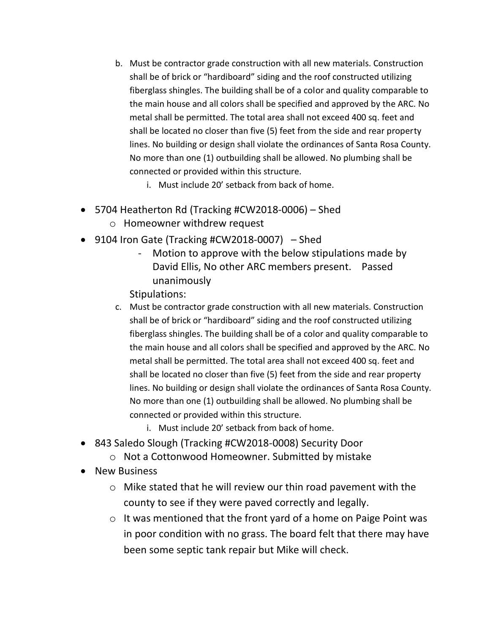- b. Must be contractor grade construction with all new materials. Construction shall be of brick or "hardiboard" siding and the roof constructed utilizing fiberglass shingles. The building shall be of a color and quality comparable to the main house and all colors shall be specified and approved by the ARC. No metal shall be permitted. The total area shall not exceed 400 sq. feet and shall be located no closer than five (5) feet from the side and rear property lines. No building or design shall violate the ordinances of Santa Rosa County. No more than one (1) outbuilding shall be allowed. No plumbing shall be connected or provided within this structure.
	- i. Must include 20' setback from back of home.
- 5704 Heatherton Rd (Tracking #CW2018-0006) Shed o Homeowner withdrew request
- 9104 Iron Gate (Tracking #CW2018-0007) Shed
	- Motion to approve with the below stipulations made by David Ellis, No other ARC members present. Passed unanimously

Stipulations:

- c. Must be contractor grade construction with all new materials. Construction shall be of brick or "hardiboard" siding and the roof constructed utilizing fiberglass shingles. The building shall be of a color and quality comparable to the main house and all colors shall be specified and approved by the ARC. No metal shall be permitted. The total area shall not exceed 400 sq. feet and shall be located no closer than five (5) feet from the side and rear property lines. No building or design shall violate the ordinances of Santa Rosa County. No more than one (1) outbuilding shall be allowed. No plumbing shall be connected or provided within this structure.
	- i. Must include 20' setback from back of home.
- 843 Saledo Slough (Tracking #CW2018-0008) Security Door
	- o Not a Cottonwood Homeowner. Submitted by mistake
- New Business
	- o Mike stated that he will review our thin road pavement with the county to see if they were paved correctly and legally.
	- o It was mentioned that the front yard of a home on Paige Point was in poor condition with no grass. The board felt that there may have been some septic tank repair but Mike will check.